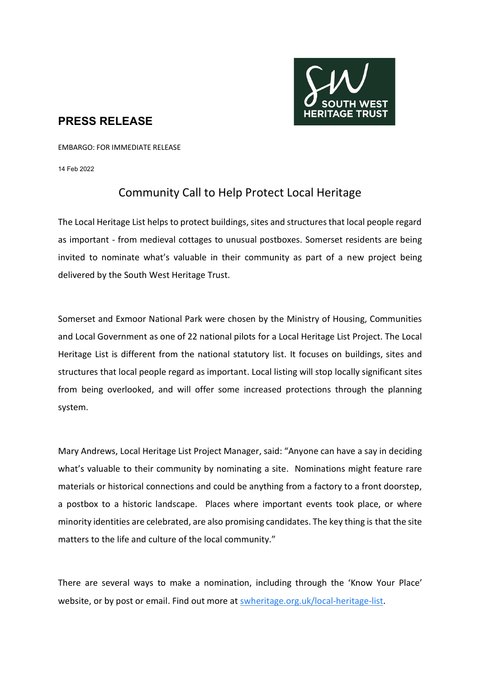

## **PRESS RELEASE**

EMBARGO: FOR IMMEDIATE RELEASE

14 Feb 2022

# Community Call to Help Protect Local Heritage

The Local Heritage List helps to protect buildings, sites and structures that local people regard as important - from medieval cottages to unusual postboxes. Somerset residents are being invited to nominate what's valuable in their community as part of a new project being delivered by the South West Heritage Trust.

Somerset and Exmoor National Park were chosen by the Ministry of Housing, Communities and Local Government as one of 22 national pilots for a Local Heritage List Project. The Local Heritage List is different from the national statutory list. It focuses on buildings, sites and structures that local people regard as important. Local listing will stop locally significant sites from being overlooked, and will offer some increased protections through the planning system.

Mary Andrews, Local Heritage List Project Manager, said: "Anyone can have a say in deciding what's valuable to their community by nominating a site. Nominations might feature rare materials or historical connections and could be anything from a factory to a front doorstep, a postbox to a historic landscape. Places where important events took place, or where minority identities are celebrated, are also promising candidates. The key thing is that the site matters to the life and culture of the local community."

There are several ways to make a nomination, including through the 'Know Your Place' website, or by post or email. Find out more at [swheritage.org.uk/local-heritage-list.](https://swheritage.org.uk/local-heritage-list)